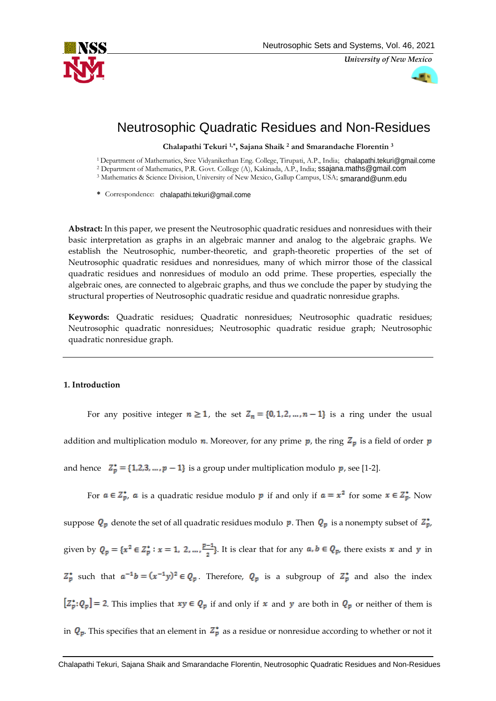

*University of New Mexico*



# Neutrosophic Quadratic Residues and Non-Residues

**Chalapathi Tekuri 1,\* , Sajana Shaik <sup>2</sup> and Smarandache Florentin <sup>3</sup>**

<sup>1</sup> Department of Mathematics, Sree Vidyanikethan Eng. College, Tirupati, A.P., India;  [chalapathi.tekuri@](mailto:chalapathi.tekuri@gmail.come)gmail.come <sup>2</sup> Department of Mathematics, P.R. Govt. College (A), Kakinada, A.P., India; **[ssajana.maths@](mailto:ssajana.maths@gmail.com)gmail.com** <sup>3</sup> Mathematics & Science Division, University of New Mexico, Gallup Ca[mpus, USA;](mailto:smarand@unm.edu) smarand@unm.edu

\* Correspondence: [chalapathi.tekuri@](mailto:chalapathi.tekuri@gmail.com)gmail.come

**Abstract:** In this paper, we present the Neutrosophic quadratic residues and nonresidues with their basic interpretation as graphs in an algebraic manner and analog to the algebraic graphs. We establish the Neutrosophic, number-theoretic, and graph-theoretic properties of the set of Neutrosophic quadratic residues and nonresidues, many of which mirror those of the classical quadratic residues and nonresidues of modulo an odd prime. These properties, especially the algebraic ones, are connected to algebraic graphs, and thus we conclude the paper by studying the structural properties of Neutrosophic quadratic residue and quadratic nonresidue graphs.

**Keywords:** Quadratic residues; Quadratic nonresidues; Neutrosophic quadratic residues; Neutrosophic quadratic nonresidues; Neutrosophic quadratic residue graph; Neutrosophic quadratic nonresidue graph.

### **1. Introduction**

For any positive integer  $n \ge 1$ , the set  $Z_n = \{0, 1, 2, ..., n-1\}$  is a ring under the usual

addition and multiplication modulo **n**. Moreover, for any prime **p**, the ring  $Z_p$  is a field of order **p** 

and hence  $Z_p^* = \{1, 2, 3, ..., p-1\}$  is a group under multiplication modulo p, see [1-2].

For  $a \in \mathbb{Z}_p^*$ , a is a quadratic residue modulo p if and only if  $a = x^2$  for some  $x \in \mathbb{Z}_p^*$ . Now suppose  $Q_p$  denote the set of all quadratic residues modulo p. Then  $Q_p$  is a nonempty subset of  $Z_p^*$ , given by  $Q_p = \{x^2 \in \mathbb{Z}_p^* : x = 1, 2, ..., \frac{p-1}{2}\}\.$  It is clear that for any  $a, b \in Q_p$ , there exists x and y in  $Z_p^*$  such that  $a^{-1}b = (x^{-1}y)^2 \in Q_p$ . Therefore,  $Q_p$  is a subgroup of  $Z_p^*$  and also the index  $[Z_p^*:\varrho_p]=2$ . This implies that  $xy\in \varrho_p$  if and only if  $x$  and  $y$  are both in  $\varrho_p$  or neither of them is in  $Q_p$ . This specifies that an element in  $Z_p^*$  as a residue or nonresidue according to whether or not it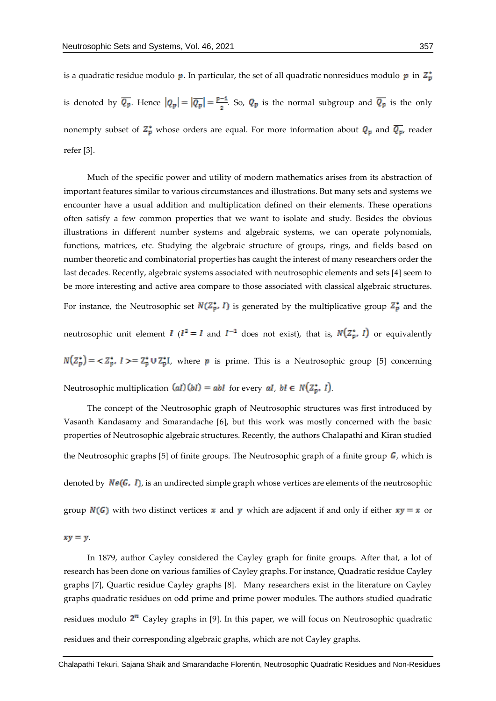is a quadratic residue modulo  $p$ . In particular, the set of all quadratic nonresidues modulo  $p$  in  $\mathbb{Z}_p^*$ is denoted by  $\overline{Q_p}$ . Hence  $|Q_p| = |\overline{Q_p}| = \frac{p-1}{2}$ . So,  $Q_p$  is the normal subgroup and  $\overline{Q_p}$  is the only nonempty subset of  $Z_p^*$  whose orders are equal. For more information about  $Q_p$  and  $\overline{Q_p}$ , reader refer [3].

Much of the specific power and utility of modern mathematics arises from its abstraction of important features similar to various circumstances and illustrations. But many sets and systems we encounter have a usual addition and multiplication defined on their elements. These operations often satisfy a few common properties that we want to isolate and study. Besides the obvious illustrations in different number systems and algebraic systems, we can operate polynomials, functions, matrices, etc. Studying the algebraic structure of groups, rings, and fields based on number theoretic and combinatorial properties has caught the interest of many researchers order the last decades. Recently, algebraic systems associated with neutrosophic elements and sets [4] seem to be more interesting and active area compare to those associated with classical algebraic structures.

For instance, the Neutrosophic set  $N(\mathbb{Z}_p^*, I)$  is generated by the multiplicative group  $\mathbb{Z}_p^*$  and the

neutrosophic unit element  $I(I^2 = I$  and  $I^{-1}$  does not exist), that is,  $N(Z_p^*, I)$  or equivalently

 $N(Z_p^*) = \langle Z_p^*, I \rangle = Z_p^* \cup Z_p^*I$ , where p is prime. This is a Neutrosophic group [5] concerning

Neutrosophic multiplication  $(al)(bl) = abI$  for every  $al, bl \in N(\mathbb{Z}_p^*, I)$ .

The concept of the Neutrosophic graph of Neutrosophic structures was first introduced by Vasanth Kandasamy and Smarandache [6], but this work was mostly concerned with the basic properties of Neutrosophic algebraic structures. Recently, the authors Chalapathi and Kiran studied the Neutrosophic graphs [5] of finite groups. The Neutrosophic graph of a finite group  $\bm{G}$ , which is denoted by  $N\epsilon(G, I)$ , is an undirected simple graph whose vertices are elements of the neutrosophic group  $N(G)$  with two distinct vertices x and y which are adjacent if and only if either  $xy = x$  or

$$
xy = y
$$

In 1879, author Cayley considered the Cayley graph for finite groups. After that, a lot of research has been done on various families of Cayley graphs. For instance, Quadratic residue Cayley graphs [7], Quartic residue Cayley graphs [8]. Many researchers exist in the literature on Cayley graphs quadratic residues on odd prime and prime power modules. The authors studied quadratic residues modulo  $2^n$  Cayley graphs in [9]. In this paper, we will focus on Neutrosophic quadratic residues and their corresponding algebraic graphs, which are not Cayley graphs.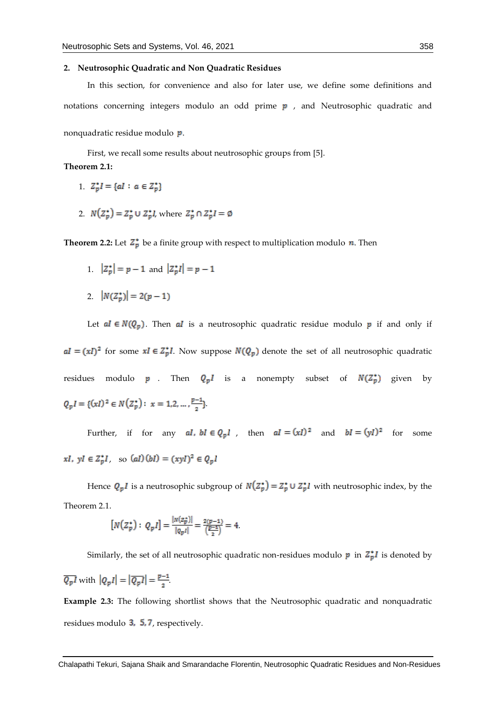#### **2. Neutrosophic Quadratic and Non Quadratic Residues**

In this section, for convenience and also for later use, we define some definitions and notations concerning integers modulo an odd prime  $p$ , and Neutrosophic quadratic and nonquadratic residue modulo *p*.

First, we recall some results about neutrosophic groups from [5]. **Theorem 2.1:** 

- 1.  $Z_p^*I = \{aI : a \in Z_p^*\}$
- 2.  $N(Z_p^*) = Z_p^* \cup Z_p^* l$ , where  $Z_p^* \cap Z_p^* l = \emptyset$

**Theorem 2.2:** Let  $\mathbb{Z}_p^*$  be a finite group with respect to multiplication modulo  $\mathbf{n}$ . Then

- 1.  $|Z_p^*| = p 1$  and  $|Z_p^*I| = p 1$
- 2.  $|N(Z_n^*)| = 2(p-1)$

Let  $al \in N(Q_p)$ . Then al is a neutrosophic quadratic residue modulo p if and only if  $aI = (xI)^2$  for some  $xI \in Z_p^*I$ . Now suppose  $N(Q_p)$  denote the set of all neutrosophic quadratic residues modulo **p** . Then  $Q_pI$  is a nonempty subset of  $N(Z_p^*)$  given by  $Q_p I = \{(xI)^2 \in N(Z_p^*) : x = 1, 2, ..., \frac{p-1}{2}\}.$ 

Further, if for any  $al$ ,  $bl \in Q_p l$ , then  $al = (xI)^2$  and  $bl = (yI)^2$  for some  $xI, yI \in Z_v^*I$ , so  $(al)(bl) = (xyI)^2 \in Q_vI$ 

Hence  $Q_pI$  is a neutrosophic subgroup of  $N(Z_p^*) = Z_p^* \cup Z_p^*I$  with neutrosophic index, by the Theorem 2.1.

$$
[N(Z_p^*) : Q_p I] = \frac{|N(z_p^*)|}{|Q_p I|} = \frac{2(p-1)}{\left(\frac{p-1}{2}\right)} = 4.
$$

Similarly, the set of all neutrosophic quadratic non-residues modulo  $p$  in  $\mathbb{Z}_p^* I$  is denoted by

$$
\overline{Q_p I} \text{ with } |Q_p I| = |\overline{Q_p I}| = \frac{p-1}{2}.
$$

**Example 2.3:** The following shortlist shows that the Neutrosophic quadratic and nonquadratic residues modulo  $3, 5, 7$ , respectively.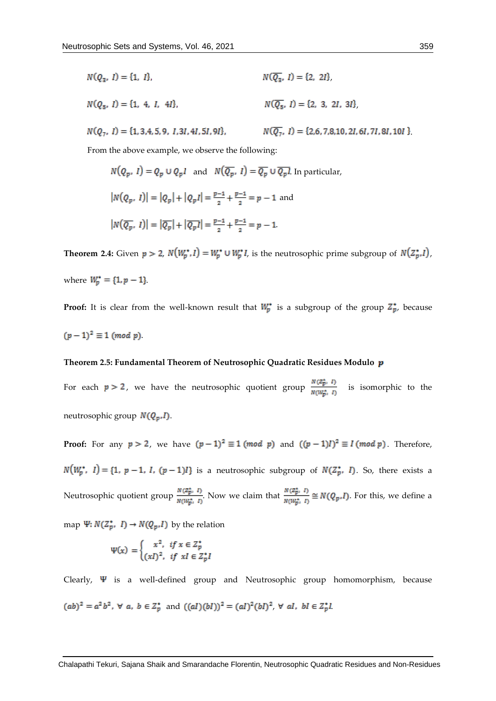$$
N(Q_3, I) = \{1, I\},
$$
  
\n
$$
N(\overline{Q_3}, I) = \{2, 2I\},
$$
  
\n
$$
N(Q_5, I) = \{1, 4, I, 4I\},
$$
  
\n
$$
N(\overline{Q_5}, I) = \{2, 3, 2I, 3I\},
$$
  
\n
$$
N(Q_7, I) = \{1, 3, 4, 5, 9, I, 3I, 4I, 5I, 9I\},
$$
  
\n
$$
N(\overline{Q_7}, I) = \{2, 6, 7, 8, 10, 2I, 6I, 7I, 8I, 10I\}
$$

From the above example, we observe the following:

$$
N(Q_p, I) = Q_p \cup Q_p I \text{ and } N(\overline{Q_p}, I) = \overline{Q_p} \cup \overline{Q_p} I. \text{ In particular,}
$$
  

$$
|N(Q_p, I)| = |Q_p| + |Q_p I| = \frac{p-1}{2} + \frac{p-1}{2} = p - 1 \text{ and}
$$
  

$$
|N(\overline{Q_p}, I)| = |\overline{Q_p}| + |\overline{Q_p}I| = \frac{p-1}{2} + \frac{p-1}{2} = p - 1.
$$

**Theorem 2.4:** Given  $p > 2$ ,  $N(W_p^*, I) = W_p^* \cup W_p^* I$ , is the neutrosophic prime subgroup of  $N(Z_p^*, I)$ , where  $W_p^* = \{1, p - 1\}$ .

**Proof:** It is clear from the well-known result that  $W_p^*$  is a subgroup of the group  $Z_p^*$ , because  $(p-1)^2 \equiv 1 \pmod{p}$ 

## **Theorem 2.5: Fundamental Theorem of Neutrosophic Quadratic Residues Modulo**

For each  $p > 2$ , we have the neutrosophic quotient group  $\frac{N(Z_p^*, I)}{N(W_p^*, I)}$  is isomorphic to the neutrosophic group  $N(Q_p, I)$ .

**Proof:** For any  $p > 2$ , we have  $(p-1)^2 \equiv 1 \pmod{p}$  and  $((p-1)I)^2 \equiv I \pmod{p}$ . Therefore,  $N(W_p^*, 1) = \{1, p-1, I, (p-1)I\}$  is a neutrosophic subgroup of  $N(Z_p^*, 1)$ . So, there exists a Neutrosophic quotient group  $\frac{N(\mathbb{Z}_{p}^{*}, I)}{N(W_{p}^{*}, I)}$ . Now we claim that  $\frac{N(\mathbb{Z}_{p}^{*}, I)}{N(W_{p}^{*}, I)} \cong N(Q_{p}, I)$ . For this, we define a

map  $\Psi: N(\mathbb{Z}_p^*, I) \to N(Q_p, I)$  by the relation

$$
\Psi(x) = \begin{cases} x^2, & \text{if } x \in Z_p^* \\ (xI)^2, & \text{if } xI \in Z_p^* \end{cases}
$$

Clearly,  $\Psi$  is a well-defined group and Neutrosophic group homomorphism, because  $(ab)^2=a^2b^2,\ \forall\ a,\ b\in Z_p^*\ \text{ and }\ ((al)(bl))^2=(al)^2(bl)^2,\ \forall\ al,\ bl\in Z_p^*l$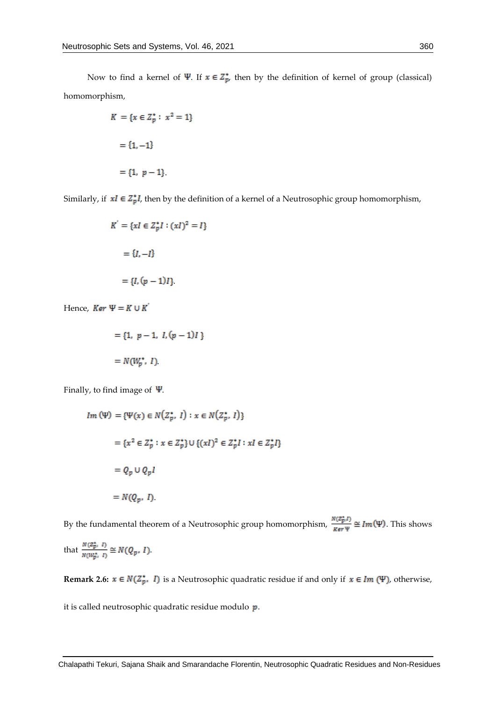Now to find a kernel of  $\Psi$ . If  $x \in \mathbb{Z}_p^*$ , then by the definition of kernel of group (classical) homomorphism,

$$
K = \{x \in Z_p^* : x^2 = 1\}
$$

$$
= \{1, -1\}
$$

$$
= \{1, p - 1\}.
$$

Similarly, if  $xI \in Z_p^*I$ , then by the definition of a kernel of a Neutrosophic group homomorphism,

$$
K^{'} = \{xI \in Z_p^*I : (xI)^2 = I\}
$$

$$
= \{I, -I\}
$$

$$
= \{I, (p-1)I\}.
$$

Hence,  $Ker \Psi = K \cup K$ 

$$
= \{1, p-1, I, (p-1)I\}
$$

$$
= N(W_p^*, I)
$$

Finally, to find image of  $\Psi$ .

$$
Im (\Psi) = {\Psi(x) \in N(Z_p^*, 1) : x \in N(Z_p^*, 1)}
$$
  
= {x<sup>2</sup>  $\in$  Z<sub>p</sub><sup>\*</sup> : x  $\in$  Z<sub>p</sub><sup>\*</sup>} ∪ {(xI)<sup>2</sup>  $\in$  Z<sub>p</sub><sup>\*</sup>I : xI  $\in$  Z<sub>p</sub><sup>\*</sup>I}  
= Q<sub>p</sub> ∪ Q<sub>p</sub>I  
= N(Q<sub>p</sub>, I).

By the fundamental theorem of a Neutrosophic group homomorphism,  $\frac{N(Z_p^*,I)}{Ker \Psi} \cong Im(\Psi)$ . This shows

that 
$$
\frac{N(\mathbb{Z}_{p}^{*}, I)}{N(W_{p}^{*}, I)} \cong N(Q_{p}, I).
$$

**Remark 2.6:**  $x \in N(\mathbb{Z}_p^*, I)$  is a Neutrosophic quadratic residue if and only if  $x \in Im(\Psi)$ , otherwise,

it is called neutrosophic quadratic residue modulo  $p$ .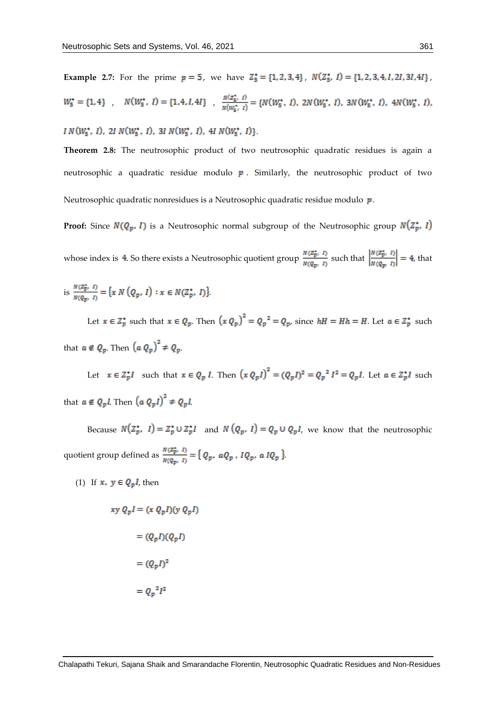**Example 2.7:** For the prime  $p = 5$ , we have  $Z_5^* = \{1, 2, 3, 4\}$ ,  $N(Z_5^*, 1) = \{1, 2, 3, 4, 1, 21, 31, 41\}$ ,  $W_5^* = \{1, 4\}$ ,  $N(W_5^*, 1) = \{1, 4, I, 4I\}$ ,  $\frac{N(z_5^*, 1)}{N(W_5^*, 1)} = \{N(W_5^*, 1), 2N(W_5^*, 1), 3N(W_5^*, 1), 4N(W_5^*, 1), 4N(W_5^*, 1)\}$  $IN(W_5^*, I), 2I \; N(W_5^*, I), 3I \; N(W_5^*, I), 4I \; N(W_5^*, I) \}$ 

**Theorem 2.8:** The neutrosophic product of two neutrosophic quadratic residues is again a

Neutrosophic quadratic nonresidues is a Neutrosophic quadratic residue modulo  $p$ .

**Proof:** Since  $N(Q_p, I)$  is a Neutrosophic normal subgroup of the Neutrosophic group  $N(Z_p^*, I)$ 

neutrosophic a quadratic residue modulo  $\boldsymbol{p}$ . Similarly, the neutrosophic product of two

whose index is 4. So there exists a Neutrosophic quotient group  $\frac{N(\mathbb{Z}_{p}^{*}, I)}{N(Q_{m}, I)}$  such that  $\left| \frac{N(\mathbb{Z}_{p}^{*}, I)}{N(Q_{m}, I)} \right| = 4$ , that

is 
$$
\frac{N(Z_{p}^*, I)}{N(Q_{p}, I)} = \{x N(Q_{p}, I) : x \in N(Z_{p}^*, I)\}
$$
.

Let  $x \in Z_p^*$  such that  $x \in Q_p$ . Then  $(x \, Q_p)^2 = Q_p^2 = Q_p$ , since  $hH = Hh = H$ . Let  $a \in Z_p^*$  such that  $a \notin Q_p$ . Then  $\left(a\ Q_p\right)^2 \neq Q_p$ .

Let  $x \in Z_p^*I$  such that  $x \in Q_p I$ . Then  $(x Q_p I)^2 = (Q_p I)^2 = Q_p{}^2 I^2 = Q_p I$ . Let  $a \in Z_p^*I$  such that  $a \notin Q_p l$ . Then  $\left(a\ Q_p l\right)^2 \neq Q_p l$ .

Because  $N(Z_p^*, I) = Z_p^* \cup Z_p^* I$  and  $N(Q_p, I) = Q_p \cup Q_p I$ , we know that the neutrosophic quotient group defined as  $\frac{N(Z_p^*, I)}{N(Q_m, I)} = \{ Q_p, aQ_p, IQ_p, aIQ_p \}$ 

(1) If  $x, y \in Q_p l$ , then

$$
xy Q_p I = (x Q_p I)(y Q_p I)
$$

$$
= (Q_p I)(Q_p I)
$$

$$
= (Q_p I)^2
$$

$$
= Q_p^2 I^2
$$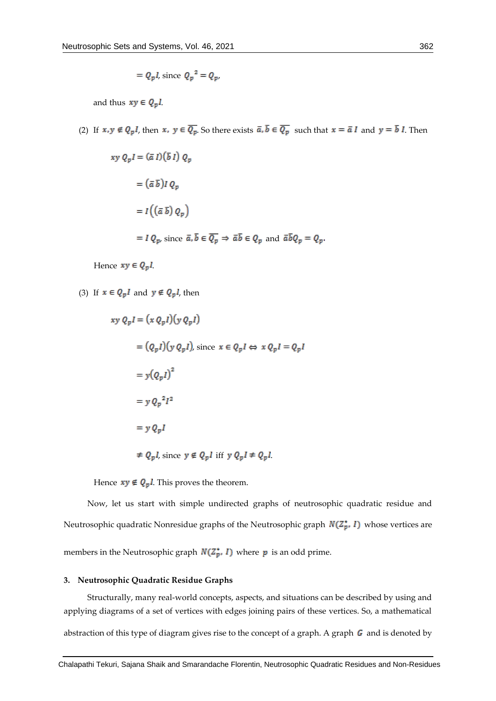$$
= Q_p l, \text{ since } Q_p^2 = Q_p,
$$

and thus  $xy \in Q_p l$ .

(2) If  $x, y \notin Q_pI$ , then  $x, y \in \overline{Q_p}$ . So there exists  $\overline{a}, \overline{b} \in \overline{Q_p}$  such that  $x = \overline{a}I$  and  $y = \overline{b}I$ . Then

$$
xy Q_p I = (\bar{a} I)(\bar{b} I) Q_p
$$
  
=  $(\bar{a} \bar{b})I Q_p$   
=  $I((\bar{a} \bar{b}) Q_p)$   
=  $I Q_p$ , since  $\bar{a}, \bar{b} \in \overline{Q_p} \Rightarrow \bar{a} \bar{b} \in Q_p$  and  $\bar{a} \bar{b} Q_p = Q_p$ 

Hence  $xy \in Q_p l$ .

(3) If  $x \in Q_p I$  and  $y \notin Q_p I$ , then

$$
xy Q_p I = (x Q_p I)(y Q_p I)
$$
  
=  $(Q_p I)(y Q_p I)$ , since  $x \in Q_p I \Leftrightarrow x Q_p I = Q_p I$   
=  $y (Q_p I)^2$   
=  $y Q_p{}^2 I^2$   
=  $y Q_p I$   
 $\neq Q_p I$ , since  $y \notin Q_p I$  iff  $y Q_p I \neq Q_p I$ .

Hence  $xy \notin Q_p l$ . This proves the theorem.

Now, let us start with simple undirected graphs of neutrosophic quadratic residue and Neutrosophic quadratic Nonresidue graphs of the Neutrosophic graph  $N(\mathbb{Z}_p^*$ , I) whose vertices are members in the Neutrosophic graph  $N(\mathbb{Z}_p^*$ , *I*) where  $p$  is an odd prime.

#### **3. Neutrosophic Quadratic Residue Graphs**

Structurally, many real-world concepts, aspects, and situations can be described by using and applying diagrams of a set of vertices with edges joining pairs of these vertices. So, a mathematical

abstraction of this type of diagram gives rise to the concept of a graph. A graph  $\boldsymbol{G}$  and is denoted by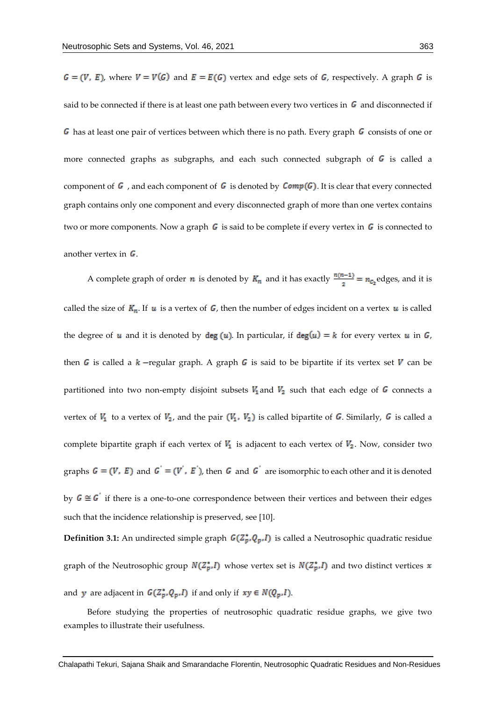$G = (V, E)$ , where  $V = V(G)$  and  $E = E(G)$  vertex and edge sets of G, respectively. A graph G is said to be connected if there is at least one path between every two vertices in  $\bm{G}$  and disconnected if  $\overline{G}$  has at least one pair of vertices between which there is no path. Every graph  $\overline{G}$  consists of one or more connected graphs as subgraphs, and each such connected subgraph of  $G$  is called a component of  $G$ , and each component of  $G$  is denoted by  $Comp(G)$ . It is clear that every connected graph contains only one component and every disconnected graph of more than one vertex contains two or more components. Now a graph  $\boldsymbol{G}$  is said to be complete if every vertex in  $\boldsymbol{G}$  is connected to another vertex in  $\boldsymbol{G}$ .

A complete graph of order *n* is denoted by  $K_n$  and it has exactly  $\frac{n(n-1)}{2} = n_{c_2}$ edges, and it is called the size of  $K_n$ . If  $u$  is a vertex of  $G$ , then the number of edges incident on a vertex  $u$  is called the degree of **u** and it is denoted by  $deg(u)$ . In particular, if  $deg(u) = k$  for every vertex **u** in G, then G is called a k -regular graph. A graph G is said to be bipartite if its vertex set V can be partitioned into two non-empty disjoint subsets  $V_1$  and  $V_2$  such that each edge of G connects a vertex of  $V_1$  to a vertex of  $V_2$ , and the pair  $(V_1, V_2)$  is called bipartite of G. Similarly, G is called a complete bipartite graph if each vertex of  $V_1$  is adjacent to each vertex of  $V_2$ . Now, consider two graphs  $G = (V, E)$  and  $G' = (V', E')$ , then G and G' are isomorphic to each other and it is denoted by  $G \cong G$  if there is a one-to-one correspondence between their vertices and between their edges such that the incidence relationship is preserved, see [10].

**Definition 3.1:** An undirected simple graph  $G(Z_p^*, Q_p, I)$  is called a Neutrosophic quadratic residue graph of the Neutrosophic group  $N(\mathbb{Z}_p^*,I)$  whose vertex set is  $N(\mathbb{Z}_p^*,I)$  and two distinct vertices x and **y** are adjacent in  $G(Z_p^*, Q_p, I)$  if and only if  $xy \in N(Q_p, I)$ .

Before studying the properties of neutrosophic quadratic residue graphs, we give two examples to illustrate their usefulness.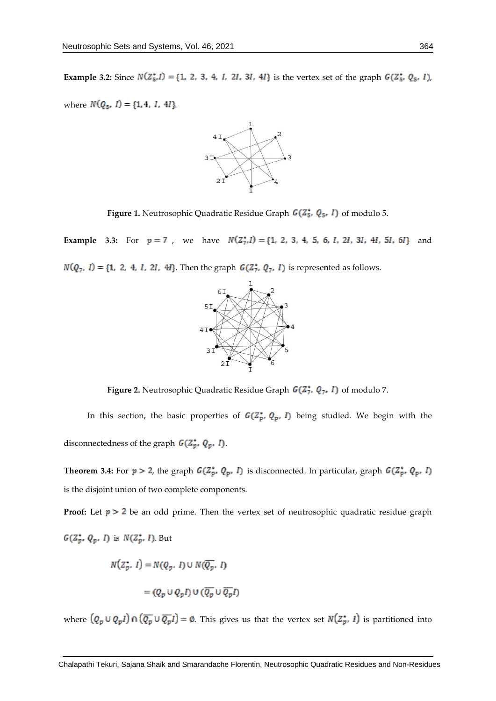**Example 3.2:** Since  $N(Z_5^*, l) = \{1, 2, 3, 4, l, 2l, 3l, 4l\}$  is the vertex set of the graph  $G(Z_5^*, Q_5, l)$ ,

where  $N(Q_5,\; I)=\{1,4,\; I,\; 4I\}$ 



**Figure 1.** Neutrosophic Quadratic Residue Graph  $G(Z_5^*, Q_5, I)$  of modulo 5.

**Example 3.3:** For  $p = 7$ , we have  $N(Z_7^*, I) = \{1, 2, 3, 4, 5, 6, I, 2I, 3I, 4I, 5I, 6I\}$  and  $N(Q_7, I) = \{1, 2, 4, I, 2I, 4I\}$ . Then the graph  $G(\mathbb{Z}_7^*, Q_7, I)$  is represented as follows.



**Figure 2.** Neutrosophic Quadratic Residue Graph  $G(Z_7^*, Q_7, I)$  of modulo 7.

In this section, the basic properties of  $G(Z_p^*, Q_p, I)$  being studied. We begin with the disconnectedness of the graph  $G(\mathbb{Z}_p^*, Q_p, I)$ .

**Theorem 3.4:** For  $p > 2$ , the graph  $G(\mathbb{Z}_p^*, Q_p, I)$  is disconnected. In particular, graph  $G(\mathbb{Z}_p^*, Q_p, I)$ is the disjoint union of two complete components.

**Proof:** Let  $p > 2$  be an odd prime. Then the vertex set of neutrosophic quadratic residue graph  $G(Z_p^{\bullet}, Q_p, I)$  is  $N(Z_p^{\bullet}, I)$ . But

$$
N(Z_p^*, I) = N(Q_p, I) \cup N(\overline{Q_p}, I)
$$

$$
= (Q_p \cup Q_p I) \cup (\overline{Q_p} \cup \overline{Q_p} I)
$$

where  $(Q_p \cup Q_p I) \cap (\overline{Q_p} \cup \overline{Q_p} I) = \emptyset$ . This gives us that the vertex set  $N(Z_p^*, I)$  is partitioned into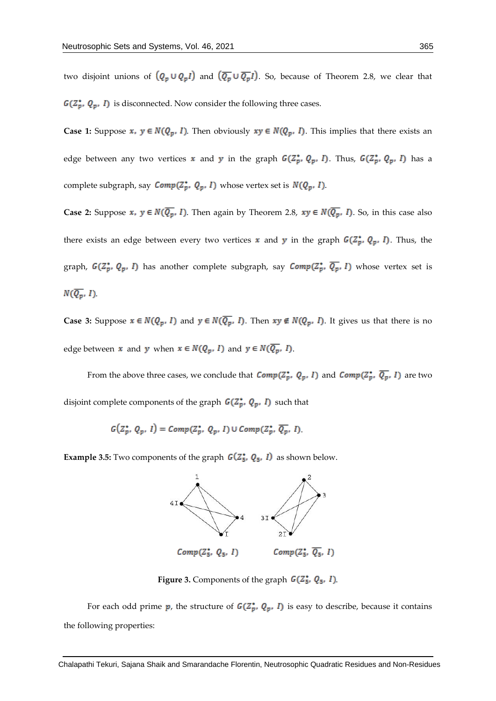two disjoint unions of  $(Q_p \cup Q_p I)$  and  $(\overline{Q_p} \cup \overline{Q_p} I)$ . So, because of Theorem 2.8, we clear that  $G(Z_p^*, Q_p, I)$  is disconnected. Now consider the following three cases.

**Case 1:** Suppose  $x$ ,  $y \in N(Q_p, I)$ . Then obviously  $xy \in N(Q_p, I)$ . This implies that there exists an edge between any two vertices  $x$  and  $y$  in the graph  $G(Z_p^*, Q_p, I)$ . Thus,  $G(Z_p^*, Q_p, I)$  has a complete subgraph, say  $Comp(Z_p^*, Q_p, I)$  whose vertex set is  $N(Q_p, I)$ .

**Case 2:** Suppose  $x$ ,  $y \in N(\overline{Q_p}, I)$ . Then again by Theorem 2.8,  $xy \in N(\overline{Q_p}, I)$ . So, in this case also there exists an edge between every two vertices x and y in the graph  $G(\mathbb{Z}_p^*, Q_p, I)$ . Thus, the graph,  $G(Z_p^*, Q_p, I)$  has another complete subgraph, say  $Comp(Z_p^*, \overline{Q_p}, I)$  whose vertex set is  $N(\overline{Q_p}, I)$ 

**Case 3:** Suppose  $x \in N(Q_p, I)$  and  $y \in N(\overline{Q_p}, I)$ . Then  $xy \notin N(Q_p, I)$ . It gives us that there is no edge between  $x$  and  $y$  when  $x \in N(Q_p, I)$  and  $y \in N(\overline{Q_p}, I)$ .

From the above three cases, we conclude that  $Comp(Z_p^*, Q_p, I)$  and  $Comp(Z_p^*, \overline{Q_p}, I)$  are two disjoint complete components of the graph  $G(Z_p^*, Q_p, I)$  such that

$$
G(Z_p^*, Q_p, I) = Comp(Z_p^*, Q_p, I) \cup Comp(Z_p^*, \overline{Q_p}, I)
$$

**Example 3.5:** Two components of the graph  $G(Z_5, Q_5, I)$  as shown below.



**Figure 3.** Components of the graph  $G(Z_5, Q_5, I)$ .

For each odd prime  $p$ , the structure of  $G(Z_p^*, Q_p, I)$  is easy to describe, because it contains the following properties: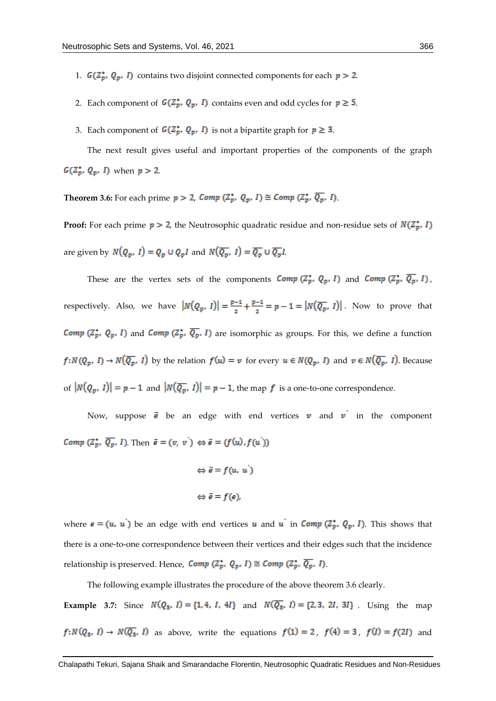- 1.  $G(\mathbb{Z}_p^*, Q_p, I)$  contains two disjoint connected components for each  $p > 2$ .
- 2. Each component of  $G(Z_p^*, Q_p, I)$  contains even and odd cycles for  $p \ge 5$ .
- 3. Each component of  $G(\mathbb{Z}_p^*, Q_p, I)$  is not a bipartite graph for  $p \geq 3$ .

The next result gives useful and important properties of the components of the graph  $G(Z_p^*, Q_p, I)$  when  $p > 2$ .

**Theorem 3.6:** For each prime  $p > 2$ , Comp  $(\mathbb{Z}_p^*, Q_p, I) \cong \text{Comp}(\mathbb{Z}_p^*, \overline{Q_p}, I)$ .

**Proof:** For each prime  $p > 2$ , the Neutrosophic quadratic residue and non-residue sets of  $N(Z_p^*, I)$ are given by  $N(Q_p, I) = Q_p \cup Q_p I$  and  $N(\overline{Q_p}, I) = \overline{Q_p} \cup \overline{Q_p} I$ .

These are the vertex sets of the components  $Comp(Z_p^*, Q_p, I)$  and  $Comp(Z_p^*, \overline{Q_p}, I)$ , respectively. Also, we have  $|N(Q_p, I)| = \frac{p-1}{2} + \frac{p-1}{2} = p-1 = |N(\overline{Q_p}, I)|$ . Now to prove that *Comp*  $(\mathbb{Z}_p^*, Q_p, I)$  and *Comp*  $(\mathbb{Z}_p^*, \overline{Q_p}, I)$  are isomorphic as groups. For this, we define a function  $f: N(Q_p, I) \to N(\overline{Q_p}, I)$  by the relation  $f(u) = v$  for every  $u \in N(Q_p, I)$  and  $v \in N(\overline{Q_p}, I)$ . Because of  $|N(Q_p, I)| = p - 1$  and  $|N(\overline{Q_p}, I)| = p - 1$ , the map f is a one-to-one correspondence.

Now, suppose  $\bar{e}$  be an edge with end vertices  $v$  and  $v$  in the component *Comp*  $(Z_p^*, \overline{Q_p}, I)$ . Then  $\bar{e} = (v, v^{'}) \Leftrightarrow \bar{e} = (f(u), f(u^{'}))$ 

```
\Leftrightarrow \bar{e} = f(u, u')\Leftrightarrow \bar{e} = f(e)
```
where  $\mathbf{e} = (u, u')$  be an edge with end vertices **u** and **u** in **Comp**  $(\mathbb{Z}_p^*, Q_p, I)$ . This shows that there is a one-to-one correspondence between their vertices and their edges such that the incidence relationship is preserved. Hence,  $Comp(Z_p^*, Q_p, I) \cong Comp(Z_p^*, \overline{Q_p}, I)$ .

The following example illustrates the procedure of the above theorem 3.6 clearly.

**Example 3.7:** Since  $N(Q_5, I) = \{1, 4, I, 4I\}$  and  $N(\overline{Q_5}, I) = \{2, 3, 2I, 3I\}$ . Using the map  $f: N(Q_5, I) \to N(\overline{Q_5}, I)$  as above, write the equations  $f(1) = 2$ ,  $f(4) = 3$ ,  $f(I) = f(2I)$  and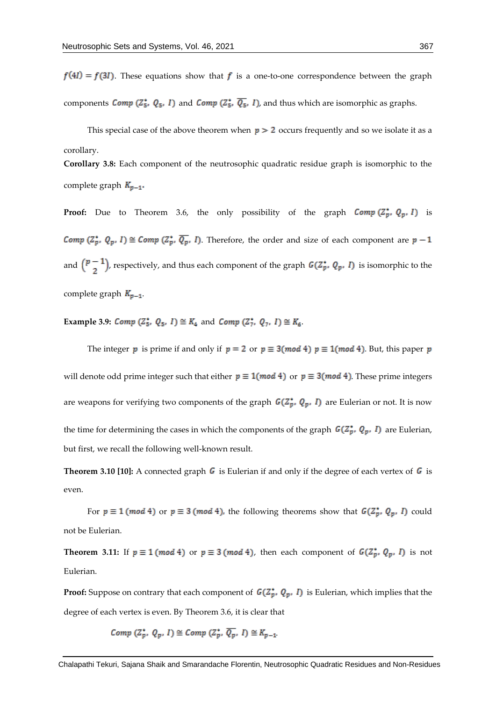$f(4I) = f(3I)$ . These equations show that f is a one-to-one correspondence between the graph components Comp ( $Z_5^*$ ,  $Q_5$ , I) and Comp ( $Z_5^*$ ,  $\overline{Q_5}$ , I), and thus which are isomorphic as graphs.

This special case of the above theorem when  $p > 2$  occurs frequently and so we isolate it as a corollary.

**Corollary 3.8:** Each component of the neutrosophic quadratic residue graph is isomorphic to the complete graph  $K_{p-1}$ .

**Proof:** Due to Theorem 3.6, the only possibility of the graph  $Comp(Z_p^*, Q_p, I)$  is *Comp*  $(\mathbb{Z}_p^*, Q_p, I) \cong \text{Comp}(\mathbb{Z}_p^*, \overline{Q_p}, I)$ . Therefore, the order and size of each component are  $p-1$ and  $\binom{p-1}{2}$ , respectively, and thus each component of the graph  $G(\mathbb{Z}_p^*, Q_p, I)$  is isomorphic to the complete graph  $K_{p-1}$ .

**Example 3.9:** *Comp*  $(\mathbb{Z}_5^*, Q_5, I) \cong K_4$  and *Comp*  $(\mathbb{Z}_7^*, Q_7, I) \cong K_6$ .

The integer p is prime if and only if  $p = 2$  or  $p \equiv 3 \pmod{4}$   $p \equiv 1 \pmod{4}$ . But, this paper p will denote odd prime integer such that either  $p \equiv 1 \pmod{4}$  or  $p \equiv 3 \pmod{4}$ . These prime integers are weapons for verifying two components of the graph  $G(Z_p^*, Q_p, I)$  are Eulerian or not. It is now the time for determining the cases in which the components of the graph  $G(\mathbb{Z}_p^*, Q_p, I)$  are Eulerian, but first, we recall the following well-known result.

**Theorem 3.10 [10]:** A connected graph  $\bf{G}$  is Eulerian if and only if the degree of each vertex of  $\bf{G}$  is even.

For  $p \equiv 1 \pmod{4}$  or  $p \equiv 3 \pmod{4}$ , the following theorems show that  $G(\mathbb{Z}_p^*, Q_p, I)$  could not be Eulerian.

**Theorem 3.11:** If  $p \equiv 1 \pmod{4}$  or  $p \equiv 3 \pmod{4}$ , then each component of  $G(Z_p^*, Q_p, I)$  is not Eulerian.

**Proof:** Suppose on contrary that each component of  $G(\mathbb{Z}_p^*, Q_p, I)$  is Eulerian, which implies that the degree of each vertex is even. By Theorem 3.6, it is clear that

 $Comp(Z_n^*, Q_n, I) \cong Comp(Z_n^*, \overline{Q_n}, I) \cong K_{n-1}$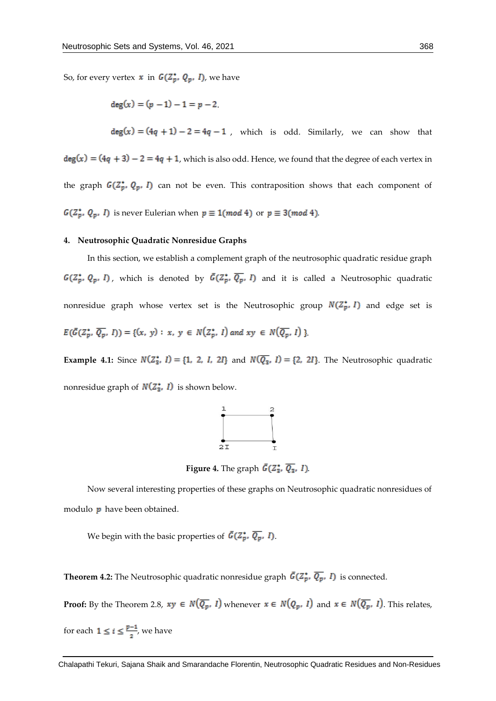So, for every vertex  $x$  in  $G(Z_p^*, Q_p, I)$ , we have

 $\deg(x) = (p-1) - 1 = p-2.$ 

$$
\deg(x) = (4q + 1) - 2 = 4q - 1
$$
, which is odd. Similarly, we can show that 
$$
\deg(x) = (4q + 3) - 2 = 4q + 1
$$
, which is also odd. Hence, we found that the degree of each vertex in the graph  $G(Z_p^*, Q_p, I)$  can not be even. This contraposition shows that each component of  $G(Z_p^*, Q_p, I)$  is never Eulerian when  $p \equiv 1 \pmod{4}$  or  $p \equiv 3 \pmod{4}$ .

#### **4. Neutrosophic Quadratic Nonresidue Graphs**

In this section, we establish a complement graph of the neutrosophic quadratic residue graph  $G(Z_p^*, Q_p, I)$ , which is denoted by  $\bar{G}(Z_p^*, \overline{Q_p}, I)$  and it is called a Neutrosophic quadratic nonresidue graph whose vertex set is the Neutrosophic group  $N(Z_p^*, I)$  and edge set is  $E(\bar{G}(Z_p^*, \overline{Q_p}, I)) = \{(x, y) : x, y \in N(Z_p^*, I) \text{ and } xy \in N(\overline{Q_p}, I)\}\$ 

**Example 4.1:** Since  $N(Z_3^*, I) = \{1, 2, I, 2I\}$  and  $N(\overline{Q_3}, I) = \{2, 2I\}$ . The Neutrosophic quadratic nonresidue graph of  $N(Z_3^*, I)$  is shown below.



**Figure 4.** The graph  $\bar{G}(\mathbb{Z}_{3}^{*}, \overline{Q_{3}}, I)$ .

Now several interesting properties of these graphs on Neutrosophic quadratic nonresidues of modulo  $\boldsymbol{p}$  have been obtained.

We begin with the basic properties of  $\bar{G}(Z_p^*, \overline{Q_p}, I)$ .

**Theorem 4.2:** The Neutrosophic quadratic nonresidue graph  $\bar{G}(\mathbb{Z}_p^*, \overline{Q_p}, I)$  is connected.

**Proof:** By the Theorem 2.8,  $xy \in N(\overline{Q_p}, I)$  whenever  $x \in N(Q_p, I)$  and  $x \in N(\overline{Q_p}, I)$ . This relates,

for each  $1 \leq i \leq \frac{p-1}{2}$ , we have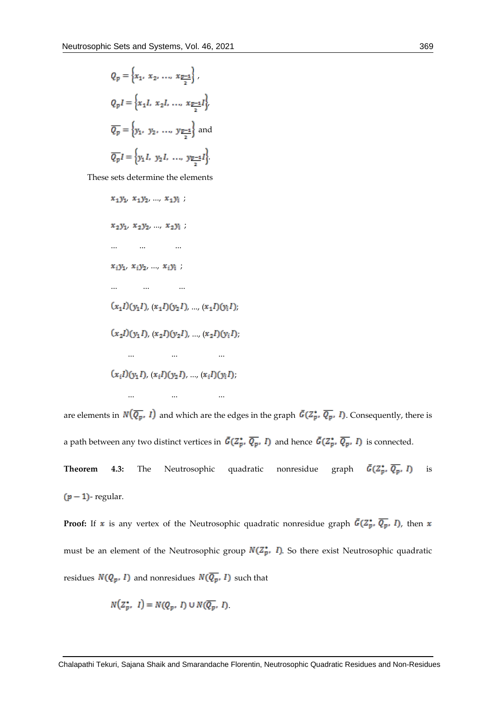$$
Q_p = \left\{ x_1, x_2, ..., x_{\frac{p-1}{2}} \right\},\
$$
  
\n
$$
Q_p I = \left\{ x_1 I, x_2 I, ..., x_{\frac{p-1}{2}} I \right\},\
$$
  
\n
$$
\overline{Q_p} = \left\{ y_1, y_2, ..., y_{\frac{p-1}{2}} \right\} \text{ and }
$$
  
\n
$$
\overline{Q_p} I = \left\{ y_1 I, y_2 I, ..., y_{\frac{p-1}{2}} I \right\}
$$

These sets determine the elements

$$
x_1y_1, x_1y_2, ..., x_1y_i ;
$$
  
\n
$$
x_2y_1, x_2y_2, ..., x_2y_i ;
$$
  
\n...\n...\n...\n...\n...\n...\n...\n...\n...\n...\n
$$
(x_1I)(y_1I), (x_1I)(y_2I), ..., (x_1I)(y_iI),
$$
  
\n
$$
(x_2I)(y_1I), (x_2I)(y_2I), ..., (x_2I)(y_iI),
$$
  
\n...\n...\n...\n
$$
(x_iI)(y_1I), (x_iI)(y_2I), ..., (x_iI)(y_iI),
$$

... ... ...

are elements in  $N(\overline{Q_p}, I)$  and which are the edges in the graph  $\bar{G}(Z_p^*, \overline{Q_p}, I)$ . Consequently, there is a path between any two distinct vertices in  $\bar{G}(Z_p^*, \overline{Q_p}, I)$  and hence  $\bar{G}(Z_p^*, \overline{Q_p}, I)$  is connected.

**Theorem 4.3:** The Neutrosophic quadratic nonresidue graph  $\bar{G}(Z_p^*, \overline{Q_p}, I)$  is  $(p - 1)$ - regular.

**Proof:** If x is any vertex of the Neutrosophic quadratic nonresidue graph  $\bar{G}(\mathbb{Z}_p^*, \overline{Q_p}, I)$ , then x must be an element of the Neutrosophic group  $N(Z_p^*, I)$ . So there exist Neutrosophic quadratic residues  $N(Q_p, I)$  and nonresidues  $N(\overline{Q_p}, I)$  such that

$$
N(Z_p^*, I) = N(Q_p, I) \cup N(\overline{Q_p}, I).
$$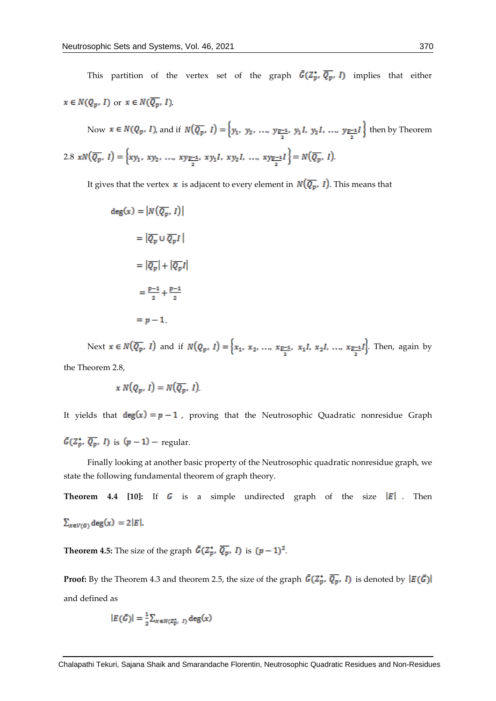This partition of the vertex set of the graph  $\bar{G}(Z_p^*, \overline{Q_p}, I)$  implies that either  $x\in N(Q_p,\,I)$  or  $x\in N(\overline{Q_p},\,I)$ 

Now  $x \in N(Q_p, I)$ , and if  $N(\overline{Q_p}, I) = \left\{y_1, y_2, ..., y_{\frac{p-1}{2}}, y_1I, y_2I, ..., y_{\frac{p-1}{2}}I\right\}$  then by Theorem 2.8  $xN(\overline{Q_p}, I) = \left\{ xy_1, xy_2, ..., xy_{\frac{p-1}{2}}, xy_1I, xy_2I, ..., xy_{\frac{p-1}{2}}I \right\} = N(\overline{Q_p}, I)$ 

It gives that the vertex  $\boldsymbol{x}$  is adjacent to every element in  $N(\overline{Q_p}, I)$ . This means that

$$
deg(x) = |N(\overline{Q_p}, 1)|
$$
  
=  $|\overline{Q_p} \cup \overline{Q_p}1|$   
=  $|\overline{Q_p}| + |\overline{Q_p}1|$   
=  $\frac{p-1}{2} + \frac{p-1}{2}$   
=  $p - 1$ .

Next  $x \in N(\overline{Q_p}, I)$  and if  $N(Q_p, I) = \left\{x_1, x_2, ..., x_{\frac{p-1}{2}}, x_1I, x_2I, ..., x_{\frac{p-1}{2}}I\right\}$ . Then, again by the Theorem 2.8,

$$
x\,N(Q_p,\,I)=N(\overline{Q_p},\,I)
$$

It yields that  $deg(x) = p - 1$ , proving that the Neutrosophic Quadratic nonresidue Graph  $\bar{G}(Z_p^{\star}, \overline{Q_p}, I)$  is  $(p-1)$  – regular.

Finally looking at another basic property of the Neutrosophic quadratic nonresidue graph, we state the following fundamental theorem of graph theory.

**Theorem 4.4 [10]:** If  $\bf{G}$  is a simple undirected graph of the size  $\bf{E}$  Then  $\sum_{x \in V(G)} \deg(x) = 2|E|.$ 

**Theorem 4.5:** The size of the graph  $\bar{G}(\overline{Z_p^*}, \overline{Q_p}, I)$  is  $(p-1)^2$ .

**Proof:** By the Theorem 4.3 and theorem 2.5, the size of the graph  $\bar{G}(Z_p^*, \overline{Q_p}, I)$  is denoted by  $|E(\bar{G})|$ and defined as

$$
|E(\bar{G})| = \frac{1}{2} \sum_{x \in N(Z_p^*, I)} \deg(x)
$$